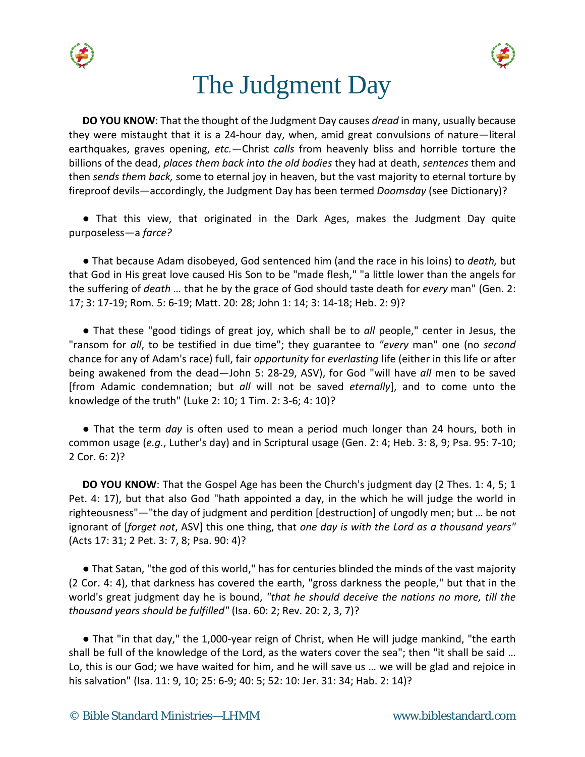



## The Judgment Day

**DO YOU KNOW**: That the thought of the Judgment Day causes *dread* in many, usually because they were mistaught that it is a 24-hour day, when, amid great convulsions of nature—literal earthquakes, graves opening, *etc.*—Christ *calls* from heavenly bliss and horrible torture the billions of the dead, *places them back into the old bodies* they had at death, *sentences* them and then *sends them back,* some to eternal joy in heaven, but the vast majority to eternal torture by fireproof devils—accordingly, the Judgment Day has been termed *Doomsday* (see Dictionary)?

● That this view, that originated in the Dark Ages, makes the Judgment Day quite purposeless—a *farce?*

● That because Adam disobeyed, God sentenced him (and the race in his loins) to *death,* but that God in His great love caused His Son to be "made flesh," "a little lower than the angels for the suffering of *death …* that he by the grace of God should taste death for *every* man" (Gen. 2: 17; 3: 17-19; Rom. 5: 6-19; Matt. 20: 28; John 1: 14; 3: 14-18; Heb. 2: 9)?

● That these "good tidings of great joy, which shall be to *all* people," center in Jesus, the "ransom for *all*, to be testified in due time"; they guarantee to *"every* man" one (no *second* chance for any of Adam's race) full, fair *opportunity* for *everlasting* life (either in this life or after being awakened from the dead—John 5: 28-29, ASV), for God "will have *all* men to be saved [from Adamic condemnation; but *all* will not be saved *eternally*], and to come unto the knowledge of the truth" (Luke 2: 10; 1 Tim. 2: 3-6; 4: 10)?

● That the term *day* is often used to mean a period much longer than 24 hours, both in common usage (*e.g.*, Luther's day) and in Scriptural usage (Gen. 2: 4; Heb. 3: 8, 9; Psa. 95: 7-10; 2 Cor. 6: 2)?

**DO YOU KNOW**: That the Gospel Age has been the Church's judgment day (2 Thes. 1: 4, 5; 1) Pet. 4: 17), but that also God "hath appointed a day, in the which he will judge the world in righteousness"—"the day of judgment and perdition [destruction] of ungodly men; but … be not ignorant of [*forget not*, ASV] this one thing, that *one day is with the Lord as a thousand years"* (Acts 17: 31; 2 Pet. 3: 7, 8; Psa. 90: 4)?

● That Satan, "the god of this world," has for centuries blinded the minds of the vast majority (2 Cor. 4: 4), that darkness has covered the earth, "gross darkness the people," but that in the world's great judgment day he is bound, *"that he should deceive the nations no more, till the thousand years should be fulfilled"* (Isa. 60: 2; Rev. 20: 2, 3, 7)?

● That "in that day," the 1,000-year reign of Christ, when He will judge mankind, "the earth shall be full of the knowledge of the Lord, as the waters cover the sea"; then "it shall be said … Lo, this is our God; we have waited for him, and he will save us … we will be glad and rejoice in his salvation" (Isa. 11: 9, 10; 25: 6-9; 40: 5; 52: 10: Jer. 31: 34; Hab. 2: 14)?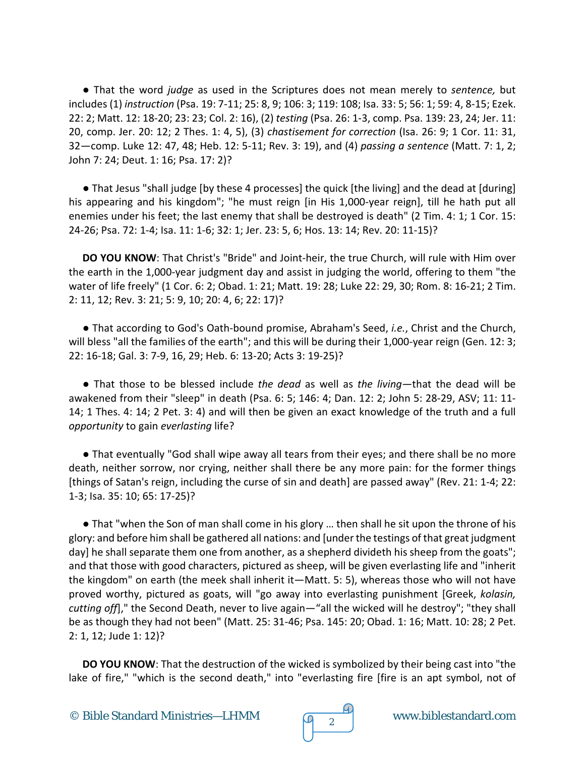● That the word *judge* as used in the Scriptures does not mean merely to *sentence,* but includes (1) *instruction* (Psa. 19: 7-11; 25: 8, 9; 106: 3; 119: 108; Isa. 33: 5; 56: 1; 59: 4, 8-15; Ezek. 22: 2; Matt. 12: 18-20; 23: 23; Col. 2: 16), (2) *testing* (Psa. 26: 1-3, comp. Psa. 139: 23, 24; Jer. 11: 20, comp. Jer. 20: 12; 2 Thes. 1: 4, 5), (3) *chastisement for correction* (Isa. 26: 9; 1 Cor. 11: 31, 32—comp. Luke 12: 47, 48; Heb. 12: 5-11; Rev. 3: 19), and (4) *passing a sentence* (Matt. 7: 1, 2; John 7: 24; Deut. 1: 16; Psa. 17: 2)?

● That Jesus "shall judge [by these 4 processes] the quick [the living] and the dead at [during] his appearing and his kingdom"; "he must reign [in His 1,000-year reign], till he hath put all enemies under his feet; the last enemy that shall be destroyed is death" (2 Tim. 4: 1; 1 Cor. 15: 24-26; Psa. 72: 1-4; Isa. 11: 1-6; 32: 1; Jer. 23: 5, 6; Hos. 13: 14; Rev. 20: 11-15)?

**DO YOU KNOW**: That Christ's "Bride" and Joint-heir, the true Church, will rule with Him over the earth in the 1,000-year judgment day and assist in judging the world, offering to them "the water of life freely" (1 Cor. 6: 2; Obad. 1: 21; Matt. 19: 28; Luke 22: 29, 30; Rom. 8: 16-21; 2 Tim. 2: 11, 12; Rev. 3: 21; 5: 9, 10; 20: 4, 6; 22: 17)?

● That according to God's Oath-bound promise, Abraham's Seed, *i.e.*, Christ and the Church, will bless "all the families of the earth"; and this will be during their 1,000-year reign (Gen. 12: 3; 22: 16-18; Gal. 3: 7-9, 16, 29; Heb. 6: 13-20; Acts 3: 19-25)?

● That those to be blessed include *the dead* as well as *the living*—that the dead will be awakened from their "sleep" in death (Psa. 6: 5; 146: 4; Dan. 12: 2; John 5: 28-29, ASV; 11: 11- 14; 1 Thes. 4: 14; 2 Pet. 3: 4) and will then be given an exact knowledge of the truth and a full *opportunity* to gain *everlasting* life?

● That eventually "God shall wipe away all tears from their eyes; and there shall be no more death, neither sorrow, nor crying, neither shall there be any more pain: for the former things [things of Satan's reign, including the curse of sin and death] are passed away" (Rev. 21: 1-4; 22: 1-3; Isa. 35: 10; 65: 17-25)?

● That "when the Son of man shall come in his glory … then shall he sit upon the throne of his glory: and before him shall be gathered all nations: and [under the testings of that great judgment day] he shall separate them one from another, as a shepherd divideth his sheep from the goats"; and that those with good characters, pictured as sheep, will be given everlasting life and "inherit the kingdom" on earth (the meek shall inherit it—Matt. 5: 5), whereas those who will not have proved worthy, pictured as goats, will "go away into everlasting punishment [Greek, *kolasin, cutting off*]," the Second Death, never to live again—"all the wicked will he destroy"; "they shall be as though they had not been" (Matt. 25: 31-46; Psa. 145: 20; Obad. 1: 16; Matt. 10: 28; 2 Pet. 2: 1, 12; Jude 1: 12)?

**DO YOU KNOW**: That the destruction of the wicked is symbolized by their being cast into "the lake of fire," "which is the second death," into "everlasting fire [fire is an apt symbol, not of